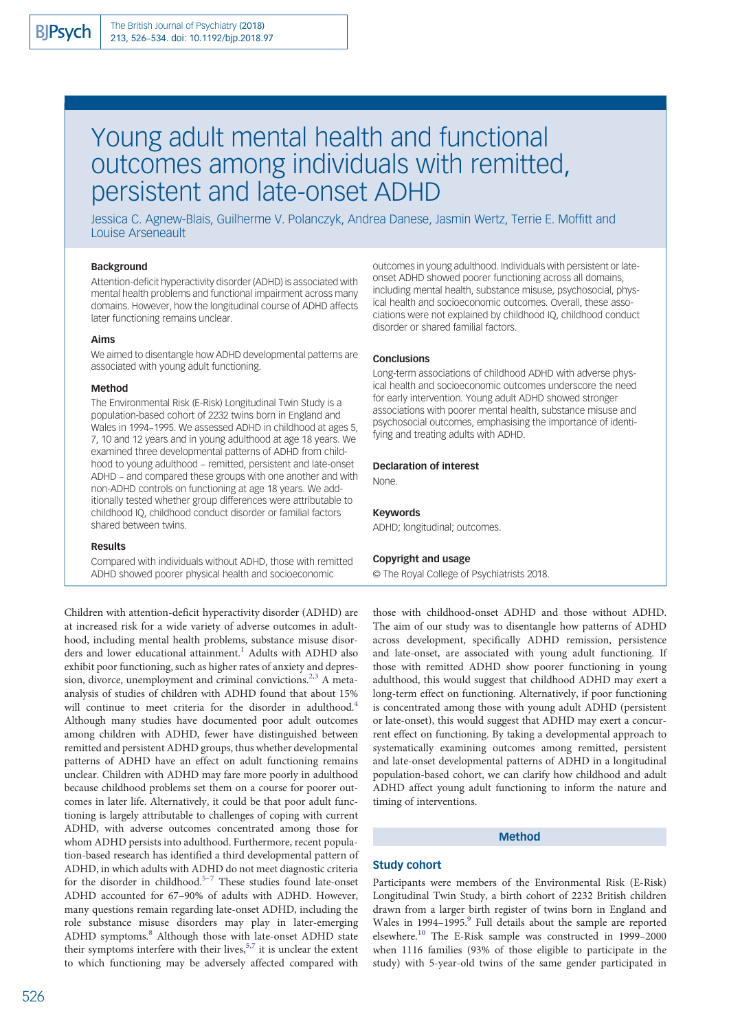# Young adult mental health and functional outcomes among individuals with remitted, persistent and late-onset ADHD

Jessica C. Agnew-Blais, Guilherme V. Polanczyk, Andrea Danese, Jasmin Wertz, Terrie E. Moffitt and Louise Arseneault

# Background

Attention-deficit hyperactivity disorder (ADHD) is associated with mental health problems and functional impairment across many domains. However, how the longitudinal course of ADHD affects later functioning remains unclear.

# Aims

We aimed to disentangle how ADHD developmental patterns are associated with young adult functioning.

# Method

The Environmental Risk (E-Risk) Longitudinal Twin Study is a population-based cohort of 2232 twins born in England and Wales in 1994–1995. We assessed ADHD in childhood at ages 5, 7, 10 and 12 years and in young adulthood at age 18 years. We examined three developmental patterns of ADHD from childhood to young adulthood – remitted, persistent and late-onset ADHD – and compared these groups with one another and with non-ADHD controls on functioning at age 18 years. We additionally tested whether group differences were attributable to childhood IQ, childhood conduct disorder or familial factors shared between twins.

#### Results

Compared with individuals without ADHD, those with remitted ADHD showed poorer physical health and socioeconomic

Children with attention-deficit hyperactivity disorder (ADHD) are at increased risk for a wide variety of adverse outcomes in adulthood, including mental health problems, substance misuse disorders and lower educational attainment.<sup>1</sup> Adults with ADHD also exhibit poor functioning, such as higher rates of anxiety and depression, divorce, unemployment and criminal convictions. $2,3$  $2,3$  A metaanalysis of studies of children with ADHD found that about 15% will continue to meet criteria for the disorder in adulthood.<sup>4</sup> Although many studies have documented poor adult outcomes among children with ADHD, fewer have distinguished between remitted and persistent ADHD groups, thus whether developmental patterns of ADHD have an effect on adult functioning remains unclear. Children with ADHD may fare more poorly in adulthood because childhood problems set them on a course for poorer outcomes in later life. Alternatively, it could be that poor adult functioning is largely attributable to challenges of coping with current ADHD, with adverse outcomes concentrated among those for whom ADHD persists into adulthood. Furthermore, recent population-based research has identified a third developmental pattern of ADHD, in which adults with ADHD do not meet diagnostic criteria for the disorder in childhood.<sup>[5](#page-7-0)-[7](#page-8-0)</sup> These studies found late-onset ADHD accounted for 67–90% of adults with ADHD. However, many questions remain regarding late-onset ADHD, including the role substance misuse disorders may play in later-emerging ADHD symptoms.[8](#page-8-0) Although those with late-onset ADHD state their symptoms interfere with their lives,  $5.7$  $5.7$  it is unclear the extent to which functioning may be adversely affected compared with

outcomes in young adulthood. Individuals with persistent or lateonset ADHD showed poorer functioning across all domains, including mental health, substance misuse, psychosocial, physical health and socioeconomic outcomes. Overall, these associations were not explained by childhood IQ, childhood conduct disorder or shared familial factors.

#### **Conclusions**

Long-term associations of childhood ADHD with adverse physical health and socioeconomic outcomes underscore the need for early intervention. Young adult ADHD showed stronger associations with poorer mental health, substance misuse and psychosocial outcomes, emphasising the importance of identifying and treating adults with ADHD.

#### Declaration of interest

None.

#### Keywords

ADHD; longitudinal; outcomes.

#### Copyright and usage

© The Royal College of Psychiatrists 2018.

those with childhood-onset ADHD and those without ADHD. The aim of our study was to disentangle how patterns of ADHD across development, specifically ADHD remission, persistence and late-onset, are associated with young adult functioning. If those with remitted ADHD show poorer functioning in young adulthood, this would suggest that childhood ADHD may exert a long-term effect on functioning. Alternatively, if poor functioning is concentrated among those with young adult ADHD (persistent or late-onset), this would suggest that ADHD may exert a concurrent effect on functioning. By taking a developmental approach to systematically examining outcomes among remitted, persistent and late-onset developmental patterns of ADHD in a longitudinal population-based cohort, we can clarify how childhood and adult ADHD affect young adult functioning to inform the nature and timing of interventions.

# Method

# Study cohort

Participants were members of the Environmental Risk (E-Risk) Longitudinal Twin Study, a birth cohort of 2232 British children drawn from a larger birth register of twins born in England and Wales in 1[9](#page-8-0)94–1995.<sup>9</sup> Full details about the sample are reported elsewhere.[10](#page-8-0) The E-Risk sample was constructed in 1999–2000 when 1116 families (93% of those eligible to participate in the study) with 5-year-old twins of the same gender participated in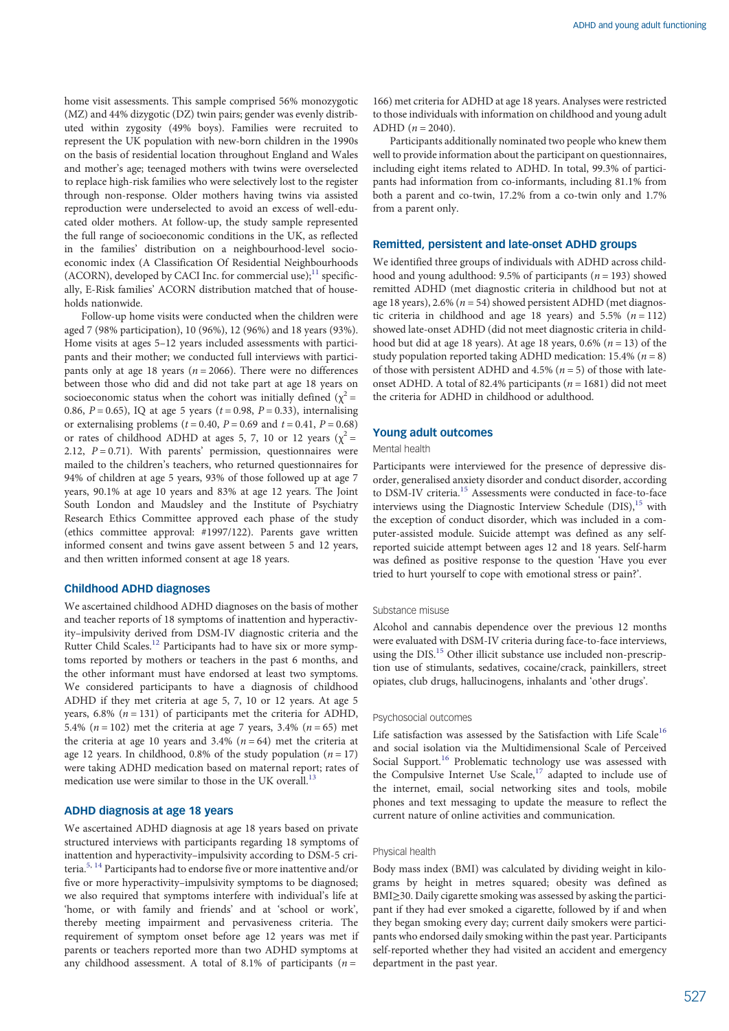home visit assessments. This sample comprised 56% monozygotic (MZ) and 44% dizygotic (DZ) twin pairs; gender was evenly distributed within zygosity (49% boys). Families were recruited to represent the UK population with new-born children in the 1990s on the basis of residential location throughout England and Wales and mother's age; teenaged mothers with twins were overselected to replace high-risk families who were selectively lost to the register through non-response. Older mothers having twins via assisted reproduction were underselected to avoid an excess of well-educated older mothers. At follow-up, the study sample represented the full range of socioeconomic conditions in the UK, as reflected in the families' distribution on a neighbourhood-level socioeconomic index (A Classification Of Residential Neighbourhoods (ACORN), developed by CACI Inc. for commercial use); $^{11}$  $^{11}$  $^{11}$  specifically, E-Risk families' ACORN distribution matched that of households nationwide.

Follow-up home visits were conducted when the children were aged 7 (98% participation), 10 (96%), 12 (96%) and 18 years (93%). Home visits at ages 5–12 years included assessments with participants and their mother; we conducted full interviews with participants only at age 18 years ( $n = 2066$ ). There were no differences between those who did and did not take part at age 18 years on socioeconomic status when the cohort was initially defined ( $\chi^2$  = 0.86,  $P = 0.65$ ), IQ at age 5 years ( $t = 0.98$ ,  $P = 0.33$ ), internalising or externalising problems ( $t = 0.40$ ,  $P = 0.69$  and  $t = 0.41$ ,  $P = 0.68$ ) or rates of childhood ADHD at ages 5, 7, 10 or 12 years ( $\chi^2$  = 2.12,  $P = 0.71$ ). With parents' permission, questionnaires were mailed to the children's teachers, who returned questionnaires for 94% of children at age 5 years, 93% of those followed up at age 7 years, 90.1% at age 10 years and 83% at age 12 years. The Joint South London and Maudsley and the Institute of Psychiatry Research Ethics Committee approved each phase of the study (ethics committee approval: #1997/122). Parents gave written informed consent and twins gave assent between 5 and 12 years, and then written informed consent at age 18 years.

# Childhood ADHD diagnoses

We ascertained childhood ADHD diagnoses on the basis of mother and teacher reports of 18 symptoms of inattention and hyperactivity–impulsivity derived from DSM-IV diagnostic criteria and the Rutter Child Scales.<sup>[12](#page-8-0)</sup> Participants had to have six or more symptoms reported by mothers or teachers in the past 6 months, and the other informant must have endorsed at least two symptoms. We considered participants to have a diagnosis of childhood ADHD if they met criteria at age 5, 7, 10 or 12 years. At age 5 years, 6.8% ( $n = 131$ ) of participants met the criteria for ADHD, 5.4% ( $n = 102$ ) met the criteria at age 7 years, 3.4% ( $n = 65$ ) met the criteria at age 10 years and 3.4% ( $n = 64$ ) met the criteria at age 12 years. In childhood, 0.8% of the study population  $(n = 17)$ were taking ADHD medication based on maternal report; rates of medication use were similar to those in the UK overall.<sup>[13](#page-8-0)</sup>

## ADHD diagnosis at age 18 years

We ascertained ADHD diagnosis at age 18 years based on private structured interviews with participants regarding 18 symptoms of inattention and hyperactivity–impulsivity according to DSM-5 criteria[.5,](#page-7-0) [14](#page-8-0) Participants had to endorse five or more inattentive and/or five or more hyperactivity–impulsivity symptoms to be diagnosed; we also required that symptoms interfere with individual's life at 'home, or with family and friends' and at 'school or work', thereby meeting impairment and pervasiveness criteria. The requirement of symptom onset before age 12 years was met if parents or teachers reported more than two ADHD symptoms at any childhood assessment. A total of 8.1% of participants ( $n =$ 

166) met criteria for ADHD at age 18 years. Analyses were restricted to those individuals with information on childhood and young adult ADHD  $(n = 2040)$ .

Participants additionally nominated two people who knew them well to provide information about the participant on questionnaires, including eight items related to ADHD. In total, 99.3% of participants had information from co-informants, including 81.1% from both a parent and co-twin, 17.2% from a co-twin only and 1.7% from a parent only.

## Remitted, persistent and late-onset ADHD groups

We identified three groups of individuals with ADHD across childhood and young adulthood: 9.5% of participants ( $n = 193$ ) showed remitted ADHD (met diagnostic criteria in childhood but not at age 18 years), 2.6% ( $n = 54$ ) showed persistent ADHD (met diagnostic criteria in childhood and age 18 years) and 5.5%  $(n = 112)$ showed late-onset ADHD (did not meet diagnostic criteria in childhood but did at age 18 years). At age 18 years,  $0.6\%$  ( $n = 13$ ) of the study population reported taking ADHD medication: 15.4% ( $n = 8$ ) of those with persistent ADHD and 4.5% ( $n = 5$ ) of those with lateonset ADHD. A total of 82.4% participants ( $n = 1681$ ) did not meet the criteria for ADHD in childhood or adulthood.

# Young adult outcomes

### Mental health

Participants were interviewed for the presence of depressive disorder, generalised anxiety disorder and conduct disorder, according to DSM-IV criteria.[15](#page-8-0) Assessments were conducted in face-to-face interviews using the Diagnostic Interview Schedule  $(DIS),<sup>15</sup>$  $(DIS),<sup>15</sup>$  $(DIS),<sup>15</sup>$  with the exception of conduct disorder, which was included in a computer-assisted module. Suicide attempt was defined as any selfreported suicide attempt between ages 12 and 18 years. Self-harm was defined as positive response to the question 'Have you ever tried to hurt yourself to cope with emotional stress or pain?'.

#### Substance misuse

Alcohol and cannabis dependence over the previous 12 months were evaluated with DSM-IV criteria during face-to-face interviews, using the DIS.<sup>[15](#page-8-0)</sup> Other illicit substance use included non-prescription use of stimulants, sedatives, cocaine/crack, painkillers, street opiates, club drugs, hallucinogens, inhalants and 'other drugs'.

#### Psychosocial outcomes

Life satisfaction was assessed by the Satisfaction with Life Scale<sup>[16](#page-8-0)</sup> and social isolation via the Multidimensional Scale of Perceived Social Support.<sup>[16](#page-8-0)</sup> Problematic technology use was assessed with the Compulsive Internet Use Scale, $17$  adapted to include use of the internet, email, social networking sites and tools, mobile phones and text messaging to update the measure to reflect the current nature of online activities and communication.

#### Physical health

Body mass index (BMI) was calculated by dividing weight in kilograms by height in metres squared; obesity was defined as BMI≥30. Daily cigarette smoking was assessed by asking the participant if they had ever smoked a cigarette, followed by if and when they began smoking every day; current daily smokers were participants who endorsed daily smoking within the past year. Participants self-reported whether they had visited an accident and emergency department in the past year.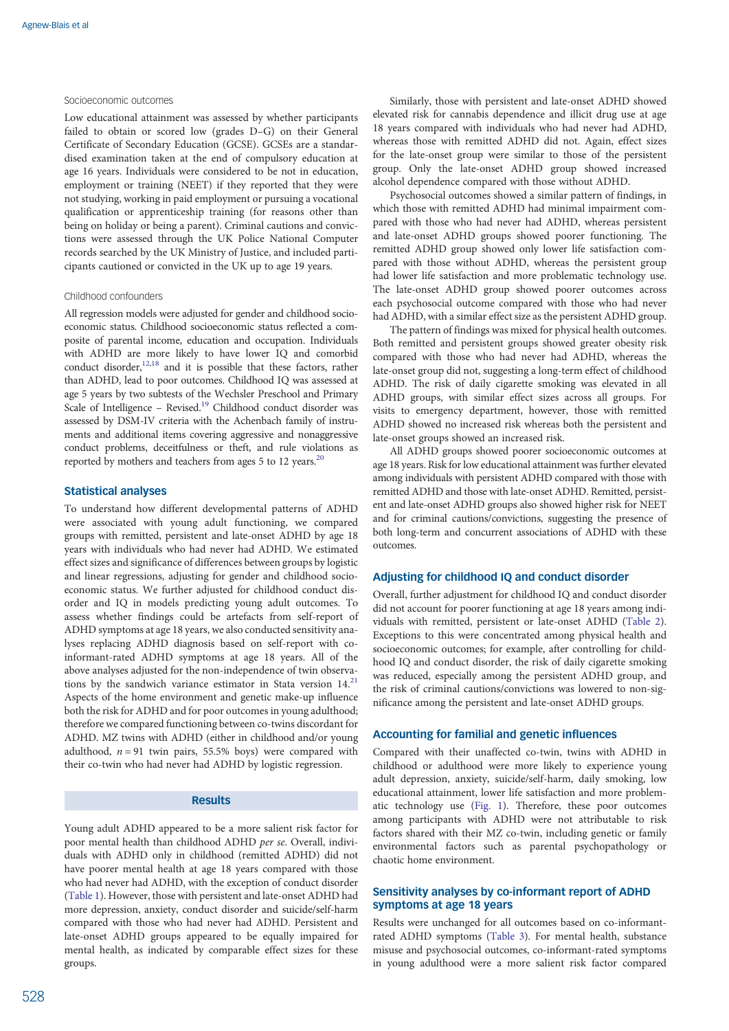# Socioeconomic outcomes

Low educational attainment was assessed by whether participants failed to obtain or scored low (grades D–G) on their General Certificate of Secondary Education (GCSE). GCSEs are a standardised examination taken at the end of compulsory education at age 16 years. Individuals were considered to be not in education, employment or training (NEET) if they reported that they were not studying, working in paid employment or pursuing a vocational qualification or apprenticeship training (for reasons other than being on holiday or being a parent). Criminal cautions and convictions were assessed through the UK Police National Computer records searched by the UK Ministry of Justice, and included participants cautioned or convicted in the UK up to age 19 years.

# Childhood confounders

All regression models were adjusted for gender and childhood socioeconomic status. Childhood socioeconomic status reflected a composite of parental income, education and occupation. Individuals with ADHD are more likely to have lower IQ and comorbid conduct disorder, $12,18$  $12,18$  $12,18$  and it is possible that these factors, rather than ADHD, lead to poor outcomes. Childhood IQ was assessed at age 5 years by two subtests of the Wechsler Preschool and Primary Scale of Intelligence - Revised.<sup>19</sup> Childhood conduct disorder was assessed by DSM-IV criteria with the Achenbach family of instruments and additional items covering aggressive and nonaggressive conduct problems, deceitfulness or theft, and rule violations as reported by mothers and teachers from ages 5 to 12 years.<sup>2</sup>

# Statistical analyses

To understand how different developmental patterns of ADHD were associated with young adult functioning, we compared groups with remitted, persistent and late-onset ADHD by age 18 years with individuals who had never had ADHD. We estimated effect sizes and significance of differences between groups by logistic and linear regressions, adjusting for gender and childhood socioeconomic status. We further adjusted for childhood conduct disorder and IQ in models predicting young adult outcomes. To assess whether findings could be artefacts from self-report of ADHD symptoms at age 18 years, we also conducted sensitivity analyses replacing ADHD diagnosis based on self-report with coinformant-rated ADHD symptoms at age 18 years. All of the above analyses adjusted for the non-independence of twin observations by the sandwich variance estimator in Stata version  $14$ <sup>[21](#page-8-0)</sup> Aspects of the home environment and genetic make-up influence both the risk for ADHD and for poor outcomes in young adulthood; therefore we compared functioning between co-twins discordant for ADHD. MZ twins with ADHD (either in childhood and/or young adulthood,  $n = 91$  twin pairs, 55.5% boys) were compared with their co-twin who had never had ADHD by logistic regression.

# **Results**

Young adult ADHD appeared to be a more salient risk factor for poor mental health than childhood ADHD per se. Overall, individuals with ADHD only in childhood (remitted ADHD) did not have poorer mental health at age 18 years compared with those who had never had ADHD, with the exception of conduct disorder ([Table 1\)](#page-3-0). However, those with persistent and late-onset ADHD had more depression, anxiety, conduct disorder and suicide/self-harm compared with those who had never had ADHD. Persistent and late-onset ADHD groups appeared to be equally impaired for mental health, as indicated by comparable effect sizes for these groups.

Similarly, those with persistent and late-onset ADHD showed elevated risk for cannabis dependence and illicit drug use at age 18 years compared with individuals who had never had ADHD, whereas those with remitted ADHD did not. Again, effect sizes for the late-onset group were similar to those of the persistent group. Only the late-onset ADHD group showed increased alcohol dependence compared with those without ADHD.

Psychosocial outcomes showed a similar pattern of findings, in which those with remitted ADHD had minimal impairment compared with those who had never had ADHD, whereas persistent and late-onset ADHD groups showed poorer functioning. The remitted ADHD group showed only lower life satisfaction compared with those without ADHD, whereas the persistent group had lower life satisfaction and more problematic technology use. The late-onset ADHD group showed poorer outcomes across each psychosocial outcome compared with those who had never had ADHD, with a similar effect size as the persistent ADHD group.

The pattern of findings was mixed for physical health outcomes. Both remitted and persistent groups showed greater obesity risk compared with those who had never had ADHD, whereas the late-onset group did not, suggesting a long-term effect of childhood ADHD. The risk of daily cigarette smoking was elevated in all ADHD groups, with similar effect sizes across all groups. For visits to emergency department, however, those with remitted ADHD showed no increased risk whereas both the persistent and late-onset groups showed an increased risk.

All ADHD groups showed poorer socioeconomic outcomes at age 18 years. Risk for low educational attainment was further elevated among individuals with persistent ADHD compared with those with remitted ADHD and those with late-onset ADHD. Remitted, persistent and late-onset ADHD groups also showed higher risk for NEET and for criminal cautions/convictions, suggesting the presence of both long-term and concurrent associations of ADHD with these outcomes.

# Adjusting for childhood IQ and conduct disorder

Overall, further adjustment for childhood IQ and conduct disorder did not account for poorer functioning at age 18 years among individuals with remitted, persistent or late-onset ADHD [\(Table 2](#page-4-0)). Exceptions to this were concentrated among physical health and socioeconomic outcomes; for example, after controlling for childhood IQ and conduct disorder, the risk of daily cigarette smoking was reduced, especially among the persistent ADHD group, and the risk of criminal cautions/convictions was lowered to non-significance among the persistent and late-onset ADHD groups.

# Accounting for familial and genetic influences

Compared with their unaffected co-twin, twins with ADHD in childhood or adulthood were more likely to experience young adult depression, anxiety, suicide/self-harm, daily smoking, low educational attainment, lower life satisfaction and more problematic technology use ([Fig. 1\)](#page-5-0). Therefore, these poor outcomes among participants with ADHD were not attributable to risk factors shared with their MZ co-twin, including genetic or family environmental factors such as parental psychopathology or chaotic home environment.

# Sensitivity analyses by co-informant report of ADHD symptoms at age 18 years

Results were unchanged for all outcomes based on co-informantrated ADHD symptoms [\(Table 3](#page-6-0)). For mental health, substance misuse and psychosocial outcomes, co-informant-rated symptoms in young adulthood were a more salient risk factor compared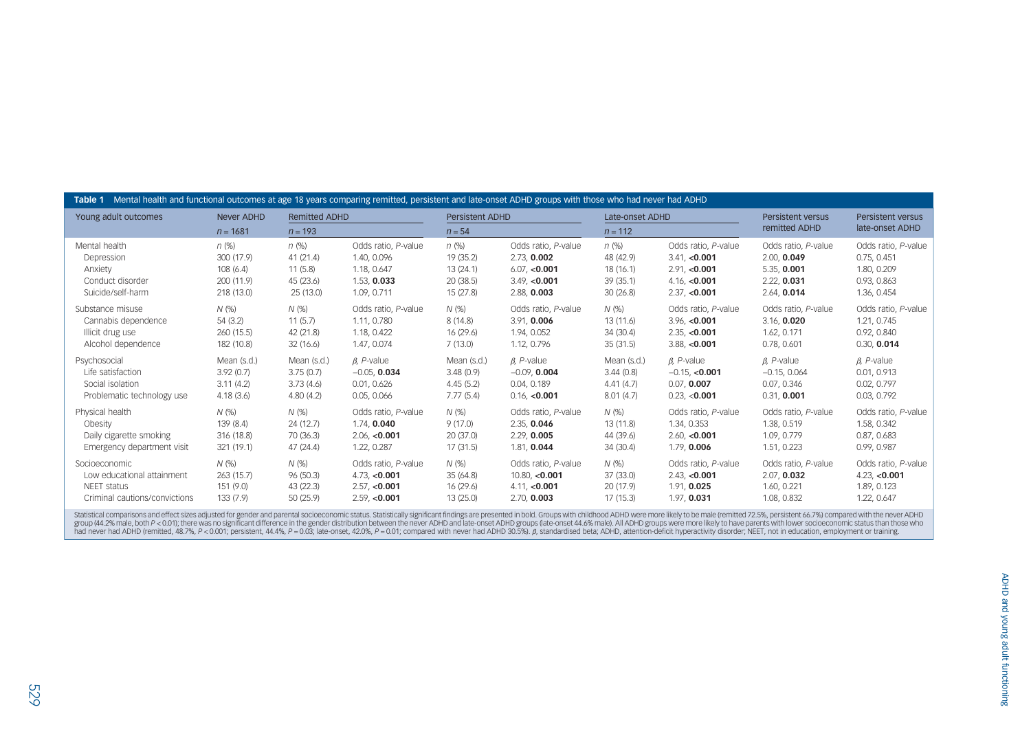<span id="page-3-0"></span>

| Mental health and functional outcomes at age 18 years comparing remitted, persistent and late-onset ADHD groups with those who had never had ADHD<br>Table 1 |                          |                                   |                     |                                    |                           |                              |                           |                                           |                                             |
|--------------------------------------------------------------------------------------------------------------------------------------------------------------|--------------------------|-----------------------------------|---------------------|------------------------------------|---------------------------|------------------------------|---------------------------|-------------------------------------------|---------------------------------------------|
| Young adult outcomes                                                                                                                                         | Never ADHD<br>$n = 1681$ | <b>Remitted ADHD</b><br>$n = 193$ |                     | <b>Persistent ADHD</b><br>$n = 54$ |                           | Late-onset ADHD<br>$n = 112$ |                           | <b>Persistent versus</b><br>remitted ADHD | <b>Persistent versus</b><br>late-onset ADHD |
|                                                                                                                                                              |                          |                                   |                     |                                    |                           |                              |                           |                                           |                                             |
| Mental health                                                                                                                                                | n(%)                     | $n$ (%)                           | Odds ratio, P-value | $n$ (%)                            | Odds ratio, P-value       | $n$ (%)                      | Odds ratio, P-value       | Odds ratio, P-value                       | Odds ratio, P-value                         |
| Depression                                                                                                                                                   | 300 (17.9)               | 41(21.4)                          | 1.40, 0.096         | 19 (35.2)                          | 2.73. 0.002               | 48 (42.9)                    | $3.41, 0.001$             | 2.00. 0.049                               | 0.75, 0.451                                 |
| Anxiety                                                                                                                                                      | 108(6.4)                 | 11(5.8)                           | 1.18, 0.647         | 13(24.1)                           | 6.07, <b>0.001</b>        | 18 (16.1)                    | 2.91, <b><i>0.001</i></b> | 5.35, 0.001                               | 1.80, 0.209                                 |
| Conduct disorder                                                                                                                                             | 200 (11.9)               | 45 (23.6)                         | 1.53, 0.033         | 20(38.5)                           | 3.49, <b>0.001</b>        | 39(35.1)                     | 4.16, <b>0.001</b>        | 2.22, 0.031                               | 0.93, 0.863                                 |
| Suicide/self-harm                                                                                                                                            | 218 (13.0)               | 25(13.0)                          | 1.09, 0.711         | 15(27.8)                           | 2.88, 0.003               | 30(26.8)                     | 2.37, <b>0.001</b>        | 2.64, 0.014                               | 1.36, 0.454                                 |
| Substance misuse                                                                                                                                             | N(%                      | N(%                               | Odds ratio, P-value | N(%                                | Odds ratio, P-value       | N(%)                         | Odds ratio, P-value       | Odds ratio, P-value                       | Odds ratio, P-value                         |
| Cannabis dependence                                                                                                                                          | 54 (3.2)                 | 11(5.7)                           | 1.11.0.780          | 8(14.8)                            | 3.91.0.006                | 13(11.6)                     | 3.96. < 0.001             | 3.16, 0.020                               | 1.21, 0.745                                 |
| Illicit drug use                                                                                                                                             | 260 (15.5)               | 42 (21.8)                         | 1.18, 0.422         | 16 (29.6)                          | 1.94, 0.052               | 34 (30.4)                    | 2.35, <b>0.001</b>        | 1.62, 0.171                               | 0.92, 0.840                                 |
| Alcohol dependence                                                                                                                                           | 182 (10.8)               | 32(16.6)                          | 1.47, 0.074         | 7(13.0)                            | 1.12, 0.796               | 35(31.5)                     | 3.88, <b>0.001</b>        | 0.78, 0.601                               | 0.30, 0.014                                 |
| Psychosocial                                                                                                                                                 | Mean (s.d.)              | Mean (s.d.)                       | $\beta$ , P-value   | Mean (s.d.)                        | $\beta$ , P-value         | Mean (s.d.)                  | $\beta$ , P-value         | $\beta$ , P-value                         | $\beta$ , P-value                           |
| Life satisfaction                                                                                                                                            | 3.92(0.7)                | 3.75(0.7)                         | $-0.05, 0.034$      | 3.48(0.9)                          | $-0.09, 0.004$            | 3.44(0.8)                    | $-0.15$ , <0.001          | $-0.15, 0.064$                            | 0.01, 0.913                                 |
| Social isolation                                                                                                                                             | 3.11(4.2)                | 3.73(4.6)                         | 0.01, 0.626         | 4.45(5.2)                          | 0.04, 0.189               | 4.41(4.7)                    | 0.07, 0.007               | 0.07, 0.346                               | 0.02, 0.797                                 |
| Problematic technology use                                                                                                                                   | 4.18(3.6)                | 4.80(4.2)                         | 0.05, 0.066         | 7.77(5.4)                          | 0.16, <b>&lt;0.001</b>    | 8.01(4.7)                    | 0.23, <b>0.001</b>        | 0.31, 0.001                               | 0.03, 0.792                                 |
| Physical health                                                                                                                                              | N(%                      | N(%                               | Odds ratio, P-value | N(%                                | Odds ratio, P-value       | N(%)                         | Odds ratio, P-value       | Odds ratio, P-value                       | Odds ratio, P-value                         |
| Obesity                                                                                                                                                      | 139 (8.4)                | 24 (12.7)                         | 1.74. 0.040         | 9(17.0)                            | 2.35, 0.046               | 13 (11.8)                    | 1.34, 0.353               | 1.38, 0.519                               | 1.58, 0.342                                 |
| Daily cigarette smoking                                                                                                                                      | 316 (18.8)               | 70 (36.3)                         | 2.06, <b>0.001</b>  | 20(37.0)                           | 2.29, 0.005               | 44 (39.6)                    | 2.60, <b>0.001</b>        | 1.09, 0.779                               | 0.87, 0.683                                 |
| Emergency department visit                                                                                                                                   | 321 (19.1)               | 47 (24.4)                         | 1.22, 0.287         | 17 (31.5)                          | 1.81, 0.044               | 34 (30.4)                    | 1.79, 0.006               | 1.51, 0.223                               | 0.99, 0.987                                 |
| Socioeconomic                                                                                                                                                | N(%                      | N(%)                              | Odds ratio, P-value | N(%                                | Odds ratio, P-value       | N(%                          | Odds ratio, P-value       | Odds ratio, P-value                       | Odds ratio, P-value                         |
| Low educational attainment                                                                                                                                   | 263(15.7)                | 96 (50.3)                         | 4.73, <b>0.001</b>  | 35 (64.8)                          | 10.80, <b>0.001</b>       | 37 (33.0)                    | $2.43$ , <0.001           | 2.07, 0.032                               | $4.23$ , <0.001                             |
| <b>NEET status</b>                                                                                                                                           | 151 (9.0)                | 43 (22.3)                         | $2.57, 0.001$       | 16(29.6)                           | 4.11, <b><i>0.001</i></b> | 20 (17.9)                    | 1.91, 0.025               | 1.60, 0.221                               | 1.89, 0.123                                 |
| Criminal cautions/convictions                                                                                                                                | 133 (7.9)                | 50 (25.9)                         | $2.59$ , <0.001     | 13 (25.0)                          | 2.70, 0.003               | 17 (15.3)                    | 1.97, 0.031               | 1.08, 0.832                               | 1.22, 0.647                                 |

Statistical comparisons and effect sizes adjusted for gender and parental socioeconomic status. Statistically significant findings are presented in bold. Groups with childhood ADHD were more likely to be male (remitted 72.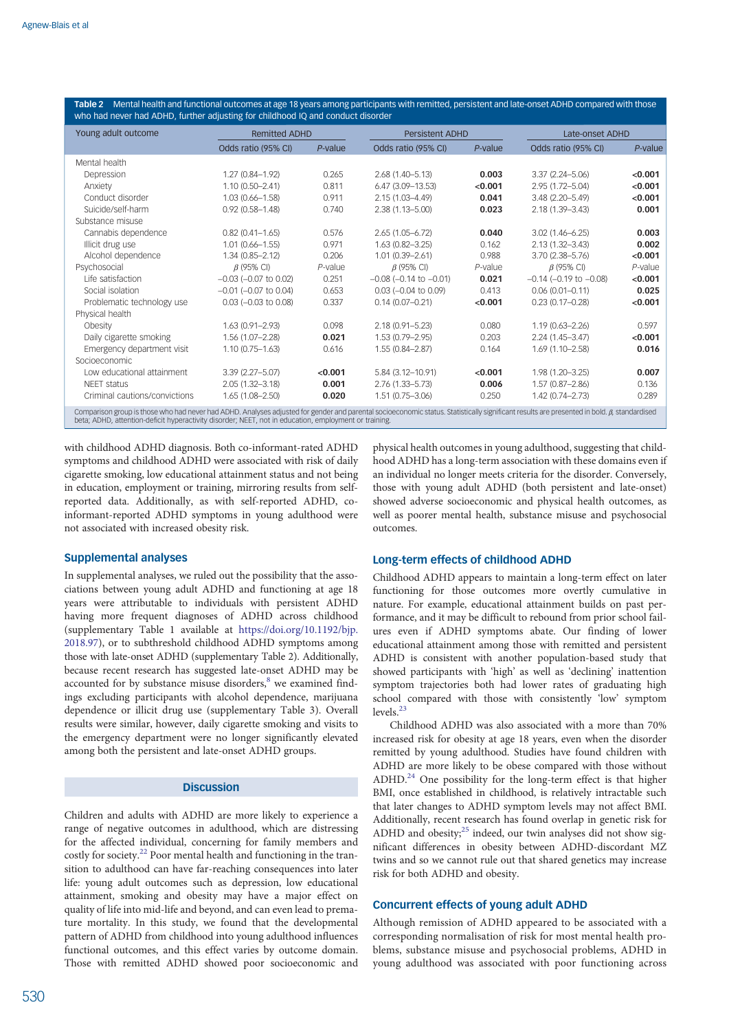<span id="page-4-0"></span>Table 2 Mental health and functional outcomes at age 18 years among participants with remitted, persistent and late-onset ADHD compared with those who had never had ADHD, further adjusting for childhood IQ and conduct disorder

| Young adult outcome                                                                                                                                                                                                         | <b>Remitted ADHD</b>         |            | <b>Persistent ADHD</b>         |            | Late-onset ADHD                |         |
|-----------------------------------------------------------------------------------------------------------------------------------------------------------------------------------------------------------------------------|------------------------------|------------|--------------------------------|------------|--------------------------------|---------|
|                                                                                                                                                                                                                             | Odds ratio (95% CI)          | $P$ -value | Odds ratio (95% CI)            | $P$ -value | Odds ratio (95% CI)            | P-value |
| Mental health                                                                                                                                                                                                               |                              |            |                                |            |                                |         |
| Depression                                                                                                                                                                                                                  | $1.27(0.84 - 1.92)$          | 0.265      | $2.68(1.40 - 5.13)$            | 0.003      | $3.37(2.24 - 5.06)$            | < 0.001 |
| Anxiety                                                                                                                                                                                                                     | $1.10(0.50 - 2.41)$          | 0.811      | $6.47(3.09 - 13.53)$           | < 0.001    | 2.95 (1.72-5.04)               | < 0.001 |
| Conduct disorder                                                                                                                                                                                                            | $1.03(0.66 - 1.58)$          | 0.911      | 2.15 (1.03-4.49)               | 0.041      | $3.48(2.20 - 5.49)$            | < 0.001 |
| Suicide/self-harm                                                                                                                                                                                                           | $0.92(0.58 - 1.48)$          | 0.740      | $2.38(1.13 - 5.00)$            | 0.023      | $2.18(1.39 - 3.43)$            | 0.001   |
| Substance misuse                                                                                                                                                                                                            |                              |            |                                |            |                                |         |
| Cannabis dependence                                                                                                                                                                                                         | $0.82(0.41 - 1.65)$          | 0.576      | $2.65(1.05 - 6.72)$            | 0.040      | $3.02(1.46 - 6.25)$            | 0.003   |
| Illicit drug use                                                                                                                                                                                                            | $1.01(0.66 - 1.55)$          | 0.971      | $1.63(0.82 - 3.25)$            | 0.162      | $2.13(1.32 - 3.43)$            | 0.002   |
| Alcohol dependence                                                                                                                                                                                                          | $1.34(0.85 - 2.12)$          | 0.206      | $1.01(0.39 - 2.61)$            | 0.988      | $3.70(2.38 - 5.76)$            | < 0.001 |
| Psychosocial                                                                                                                                                                                                                | $\beta$ (95% CI)             | $P$ -value | $\beta$ (95% CI)               | $P$ -value | $\beta$ (95% CI)               | P-value |
| Life satisfaction                                                                                                                                                                                                           | $-0.03$ ( $-0.07$ to 0.02)   | 0.251      | $-0.08$ ( $-0.14$ to $-0.01$ ) | 0.021      | $-0.14$ ( $-0.19$ to $-0.08$ ) | < 0.001 |
| Social isolation                                                                                                                                                                                                            | $-0.01$ ( $-0.07$ to 0.04)   | 0.653      | $0.03$ ( $-0.04$ to $0.09$ )   | 0.413      | $0.06(0.01 - 0.11)$            | 0.025   |
| Problematic technology use                                                                                                                                                                                                  | $0.03$ ( $-0.03$ to $0.08$ ) | 0.337      | $0.14(0.07 - 0.21)$            | < 0.001    | $0.23(0.17 - 0.28)$            | < 0.001 |
| Physical health                                                                                                                                                                                                             |                              |            |                                |            |                                |         |
| Obesity                                                                                                                                                                                                                     | $1.63(0.91 - 2.93)$          | 0.098      | $2.18(0.91 - 5.23)$            | 0.080      | $1.19(0.63 - 2.26)$            | 0.597   |
| Daily cigarette smoking                                                                                                                                                                                                     | 1.56 (1.07-2.28)             | 0.021      | $1.53(0.79 - 2.95)$            | 0.203      | $2.24(1.45 - 3.47)$            | < 0.001 |
| Emergency department visit                                                                                                                                                                                                  | $1.10(0.75 - 1.63)$          | 0.616      | $1.55(0.84 - 2.87)$            | 0.164      | $1.69(1.10 - 2.58)$            | 0.016   |
| Socioeconomic                                                                                                                                                                                                               |                              |            |                                |            |                                |         |
| Low educational attainment                                                                                                                                                                                                  | $3.39(2.27 - 5.07)$          | < 0.001    | 5.84 (3.12-10.91)              | < 0.001    | 1.98 (1.20-3.25)               | 0.007   |
| <b>NEET status</b>                                                                                                                                                                                                          | $2.05(1.32 - 3.18)$          | 0.001      | 2.76 (1.33-5.73)               | 0.006      | $1.57(0.87 - 2.86)$            | 0.136   |
| Criminal cautions/convictions<br>Comparison group is those who had never had ADHD, Analyses adjusted for gender and parental socioeconomic status. Statistically significant results are presented in hold. B, standardised | $1.65(1.08 - 2.50)$          | 0.020      | $1.51(0.75 - 3.06)$            | 0.250      | $1.42(0.74 - 2.73)$            | 0.289   |

Comparison group is those who had never had ADHD. Analyses adjusted for gender and parental socioeconomic status. Statistically significant results are presented in bold. Ø, standardisec<br>beta; ADHD, attention-deficit hyper

with childhood ADHD diagnosis. Both co-informant-rated ADHD symptoms and childhood ADHD were associated with risk of daily cigarette smoking, low educational attainment status and not being in education, employment or training, mirroring results from selfreported data. Additionally, as with self-reported ADHD, coinformant-reported ADHD symptoms in young adulthood were not associated with increased obesity risk.

# Supplemental analyses

In supplemental analyses, we ruled out the possibility that the associations between young adult ADHD and functioning at age 18 years were attributable to individuals with persistent ADHD having more frequent diagnoses of ADHD across childhood (supplementary Table 1 available at [https://doi.org/10.1192/bjp.](https://doi.org/10.1192/bjp.2018.97) [2018.97](https://doi.org/10.1192/bjp.2018.97)), or to subthreshold childhood ADHD symptoms among those with late-onset ADHD (supplementary Table 2). Additionally, because recent research has suggested late-onset ADHD may be accounted for by substance misuse disorders,<sup>[8](#page-8-0)</sup> we examined findings excluding participants with alcohol dependence, marijuana dependence or illicit drug use (supplementary Table 3). Overall results were similar, however, daily cigarette smoking and visits to the emergency department were no longer significantly elevated among both the persistent and late-onset ADHD groups.

# **Discussion**

Children and adults with ADHD are more likely to experience a range of negative outcomes in adulthood, which are distressing for the affected individual, concerning for family members and costly for society.<sup>[22](#page-8-0)</sup> Poor mental health and functioning in the transition to adulthood can have far-reaching consequences into later life: young adult outcomes such as depression, low educational attainment, smoking and obesity may have a major effect on quality of life into mid-life and beyond, and can even lead to premature mortality. In this study, we found that the developmental pattern of ADHD from childhood into young adulthood influences functional outcomes, and this effect varies by outcome domain. Those with remitted ADHD showed poor socioeconomic and

physical health outcomes in young adulthood, suggesting that childhood ADHD has a long-term association with these domains even if an individual no longer meets criteria for the disorder. Conversely, those with young adult ADHD (both persistent and late-onset) showed adverse socioeconomic and physical health outcomes, as well as poorer mental health, substance misuse and psychosocial outcomes.

# Long-term effects of childhood ADHD

Childhood ADHD appears to maintain a long-term effect on later functioning for those outcomes more overtly cumulative in nature. For example, educational attainment builds on past performance, and it may be difficult to rebound from prior school failures even if ADHD symptoms abate. Our finding of lower educational attainment among those with remitted and persistent ADHD is consistent with another population-based study that showed participants with 'high' as well as 'declining' inattention symptom trajectories both had lower rates of graduating high school compared with those with consistently 'low' symptom levels. $^{23}$  $^{23}$  $^{23}$ 

Childhood ADHD was also associated with a more than 70% increased risk for obesity at age 18 years, even when the disorder remitted by young adulthood. Studies have found children with ADHD are more likely to be obese compared with those without  $ADHD.<sup>24</sup>$  $ADHD.<sup>24</sup>$  $ADHD.<sup>24</sup>$  One possibility for the long-term effect is that higher BMI, once established in childhood, is relatively intractable such that later changes to ADHD symptom levels may not affect BMI. Additionally, recent research has found overlap in genetic risk for ADHD and obesity; $^{25}$  $^{25}$  $^{25}$  indeed, our twin analyses did not show significant differences in obesity between ADHD-discordant MZ twins and so we cannot rule out that shared genetics may increase risk for both ADHD and obesity.

# Concurrent effects of young adult ADHD

Although remission of ADHD appeared to be associated with a corresponding normalisation of risk for most mental health problems, substance misuse and psychosocial problems, ADHD in young adulthood was associated with poor functioning across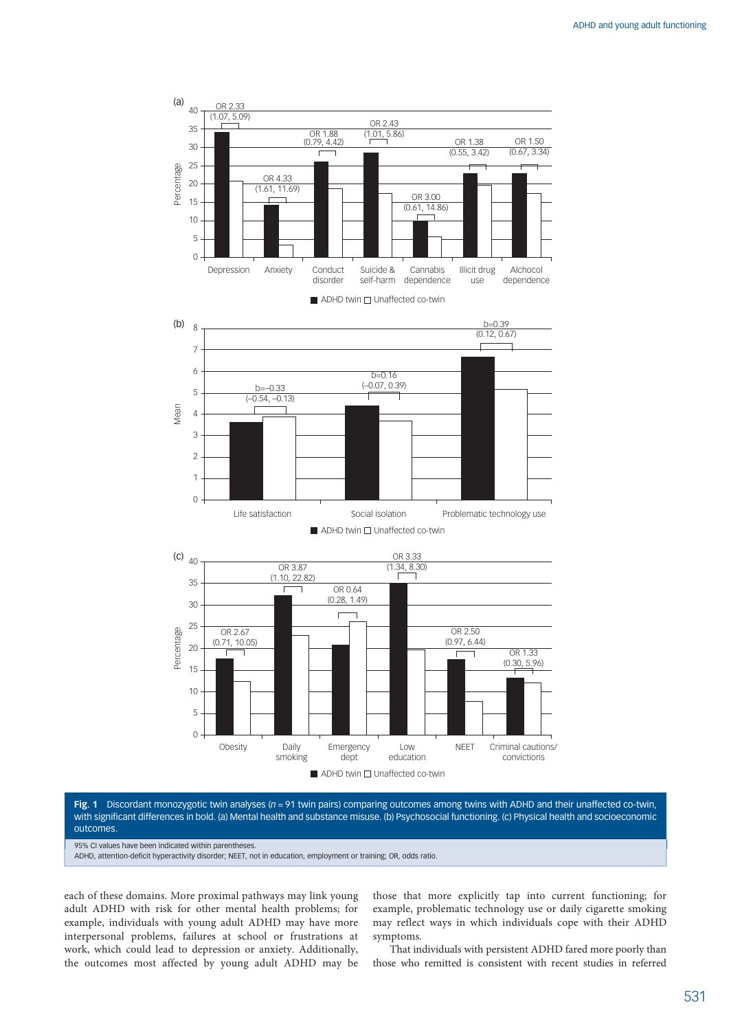<span id="page-5-0"></span>

 $\blacksquare$  ADHD twin  $\square$  Unaffected co-twin

Fig. 1 Discordant monozygotic twin analyses  $(n = 91)$  twin pairs) comparing outcomes among twins with ADHD and their unaffected co-twin, with significant differences in bold. (a) Mental health and substance misuse. (b) Psychosocial functioning. (c) Physical health and socioeconomic outcomes.

95% CI values have been indicated within parentheses.

ADHD, attention-deficit hyperactivity disorder; NEET, not in education, employment or training; OR, odds ratio.

each of these domains. More proximal pathways may link young adult ADHD with risk for other mental health problems; for example, individuals with young adult ADHD may have more interpersonal problems, failures at school or frustrations at work, which could lead to depression or anxiety. Additionally, the outcomes most affected by young adult ADHD may be

those that more explicitly tap into current functioning; for example, problematic technology use or daily cigarette smoking may reflect ways in which individuals cope with their ADHD symptoms.

That individuals with persistent ADHD fared more poorly than those who remitted is consistent with recent studies in referred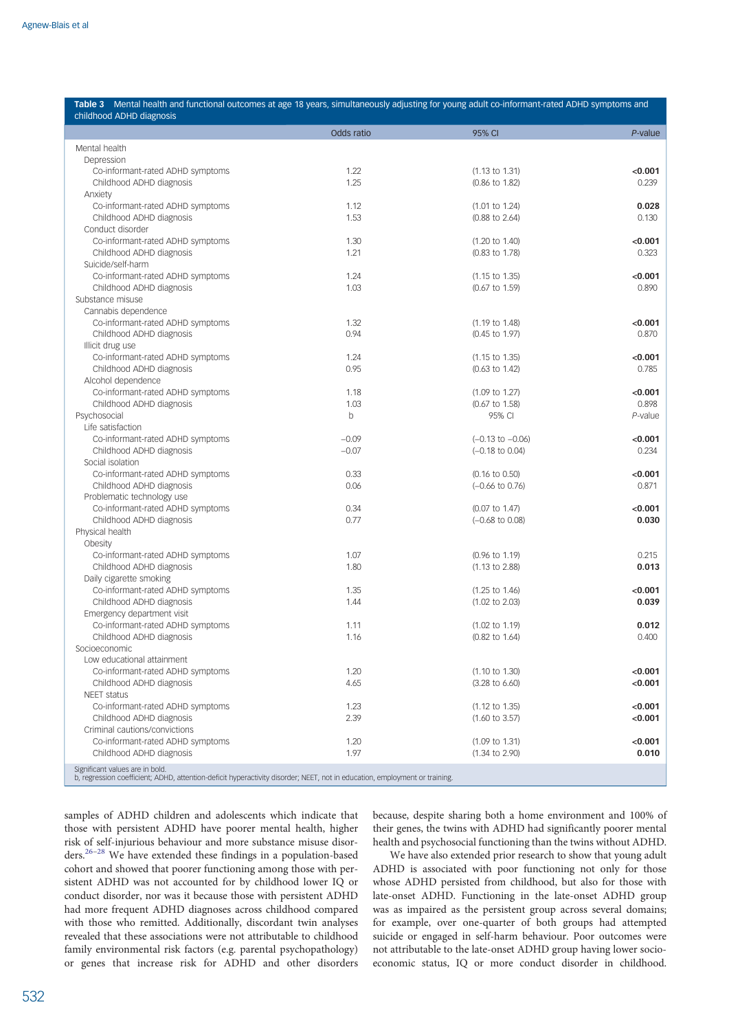<span id="page-6-0"></span>

| Table 3 Mental health and functional outcomes at age 18 years, simultaneously adjusting for young adult co-informant-rated ADHD symptoms and<br>childhood ADHD diagnosis |            |                             |            |  |  |  |
|--------------------------------------------------------------------------------------------------------------------------------------------------------------------------|------------|-----------------------------|------------|--|--|--|
|                                                                                                                                                                          | Odds ratio | 95% CI                      | $P$ -value |  |  |  |
| Mental health                                                                                                                                                            |            |                             |            |  |  |  |
| Depression                                                                                                                                                               |            |                             |            |  |  |  |
| Co-informant-rated ADHD symptoms                                                                                                                                         | 1.22       | $(1.13 \text{ to } 1.31)$   | < 0.001    |  |  |  |
| Childhood ADHD diagnosis                                                                                                                                                 | 1.25       | (0.86 to 1.82)              | 0.239      |  |  |  |
| Anxiety                                                                                                                                                                  |            |                             |            |  |  |  |
| Co-informant-rated ADHD symptoms                                                                                                                                         | 1.12       | $(1.01 \text{ to } 1.24)$   | 0.028      |  |  |  |
| Childhood ADHD diagnosis                                                                                                                                                 | 1.53       | (0.88 to 2.64)              | 0.130      |  |  |  |
| Conduct disorder                                                                                                                                                         |            |                             |            |  |  |  |
| Co-informant-rated ADHD symptoms                                                                                                                                         | 1.30       | $(1.20 \text{ to } 1.40)$   | < 0.001    |  |  |  |
| Childhood ADHD diagnosis                                                                                                                                                 | 1.21       | (0.83 to 1.78)              | 0.323      |  |  |  |
| Suicide/self-harm                                                                                                                                                        |            |                             |            |  |  |  |
| Co-informant-rated ADHD symptoms                                                                                                                                         | 1.24       | $(1.15 \text{ to } 1.35)$   | < 0.001    |  |  |  |
| Childhood ADHD diagnosis                                                                                                                                                 | 1.03       | (0.67 to 1.59)              | 0.890      |  |  |  |
| Substance misuse                                                                                                                                                         |            |                             |            |  |  |  |
| Cannabis dependence                                                                                                                                                      |            |                             |            |  |  |  |
| Co-informant-rated ADHD symptoms                                                                                                                                         | 1.32       | (1.19 to 1.48)              | < 0.001    |  |  |  |
| Childhood ADHD diagnosis                                                                                                                                                 | 0.94       | $(0.45 \text{ to } 1.97)$   | 0.870      |  |  |  |
| Illicit drug use                                                                                                                                                         |            |                             |            |  |  |  |
| Co-informant-rated ADHD symptoms                                                                                                                                         | 1.24       | $(1.15 \text{ to } 1.35)$   | < 0.001    |  |  |  |
| Childhood ADHD diagnosis                                                                                                                                                 | 0.95       | $(0.63 \text{ to } 1.42)$   | 0.785      |  |  |  |
| Alcohol dependence                                                                                                                                                       |            |                             |            |  |  |  |
| Co-informant-rated ADHD symptoms                                                                                                                                         | 1.18       | $(1.09 \text{ to } 1.27)$   | < 0.001    |  |  |  |
| Childhood ADHD diagnosis                                                                                                                                                 | 1.03       | $(0.67 \text{ to } 1.58)$   | 0.898      |  |  |  |
| Psychosocial                                                                                                                                                             | b          | 95% CI                      | P-value    |  |  |  |
| Life satisfaction                                                                                                                                                        |            |                             |            |  |  |  |
| Co-informant-rated ADHD symptoms                                                                                                                                         | $-0.09$    | $(-0.13 \text{ to } -0.06)$ | < 0.001    |  |  |  |
| Childhood ADHD diagnosis                                                                                                                                                 | $-0.07$    | $(-0.18 \text{ to } 0.04)$  | 0.234      |  |  |  |
| Social isolation                                                                                                                                                         |            |                             |            |  |  |  |
| Co-informant-rated ADHD symptoms                                                                                                                                         | 0.33       | $(0.16 \text{ to } 0.50)$   | < 0.001    |  |  |  |
| Childhood ADHD diagnosis                                                                                                                                                 | 0.06       | $(-0.66 \text{ to } 0.76)$  | 0.871      |  |  |  |
| Problematic technology use                                                                                                                                               |            |                             |            |  |  |  |
| Co-informant-rated ADHD symptoms                                                                                                                                         | 0.34       | $(0.07 \text{ to } 1.47)$   | < 0.001    |  |  |  |
| Childhood ADHD diagnosis                                                                                                                                                 | 0.77       | $(-0.68 \text{ to } 0.08)$  | 0.030      |  |  |  |
| Physical health                                                                                                                                                          |            |                             |            |  |  |  |
| Obesity                                                                                                                                                                  |            |                             |            |  |  |  |
| Co-informant-rated ADHD symptoms                                                                                                                                         | 1.07       | (0.96 to 1.19)              | 0.215      |  |  |  |
| Childhood ADHD diagnosis                                                                                                                                                 | 1.80       | (1.13 to 2.88)              | 0.013      |  |  |  |
| Daily cigarette smoking                                                                                                                                                  |            |                             |            |  |  |  |
| Co-informant-rated ADHD symptoms                                                                                                                                         | 1.35       | $(1.25 \text{ to } 1.46)$   | < 0.001    |  |  |  |
| Childhood ADHD diagnosis                                                                                                                                                 | 1.44       | $(1.02 \text{ to } 2.03)$   | 0.039      |  |  |  |
| Emergency department visit                                                                                                                                               |            |                             |            |  |  |  |
| Co-informant-rated ADHD symptoms                                                                                                                                         | 1.11       | $(1.02 \text{ to } 1.19)$   | 0.012      |  |  |  |
| Childhood ADHD diagnosis                                                                                                                                                 | 1.16       | (0.82 to 1.64)              | 0.400      |  |  |  |
| Socioeconomic                                                                                                                                                            |            |                             |            |  |  |  |
| Low educational attainment                                                                                                                                               |            |                             |            |  |  |  |
| Co-informant-rated ADHD symptoms                                                                                                                                         | 1.20       | $(1.10 \text{ to } 1.30)$   | < 0.001    |  |  |  |
| Childhood ADHD diagnosis                                                                                                                                                 | 4.65       | $(3.28 \text{ to } 6.60)$   | < 0.001    |  |  |  |
| <b>NEET status</b>                                                                                                                                                       |            |                             |            |  |  |  |
| Co-informant-rated ADHD symptoms                                                                                                                                         | 1.23       | $(1.12 \text{ to } 1.35)$   | < 0.001    |  |  |  |
| Childhood ADHD diagnosis                                                                                                                                                 | 2.39       | $(1.60 \text{ to } 3.57)$   | < 0.001    |  |  |  |
| Criminal cautions/convictions                                                                                                                                            |            |                             |            |  |  |  |
| Co-informant-rated ADHD symptoms                                                                                                                                         | 1.20       | $(1.09 \text{ to } 1.31)$   | < 0.001    |  |  |  |
| Childhood ADHD diagnosis                                                                                                                                                 | 1.97       | $(1.34 \text{ to } 2.90)$   | 0.010      |  |  |  |
| Significant values are in bold.<br>b, regression coefficient; ADHD, attention-deficit hyperactivity disorder; NEET, not in education, employment or training.            |            |                             |            |  |  |  |

samples of ADHD children and adolescents which indicate that those with persistent ADHD have poorer mental health, higher risk of self-injurious behaviour and more substance misuse disorders.[26](#page-8-0)–[28](#page-8-0) We have extended these findings in a population-based cohort and showed that poorer functioning among those with persistent ADHD was not accounted for by childhood lower IQ or conduct disorder, nor was it because those with persistent ADHD had more frequent ADHD diagnoses across childhood compared with those who remitted. Additionally, discordant twin analyses revealed that these associations were not attributable to childhood family environmental risk factors (e.g. parental psychopathology) or genes that increase risk for ADHD and other disorders

because, despite sharing both a home environment and 100% of their genes, the twins with ADHD had significantly poorer mental health and psychosocial functioning than the twins without ADHD.

We have also extended prior research to show that young adult ADHD is associated with poor functioning not only for those whose ADHD persisted from childhood, but also for those with late-onset ADHD. Functioning in the late-onset ADHD group was as impaired as the persistent group across several domains; for example, over one-quarter of both groups had attempted suicide or engaged in self-harm behaviour. Poor outcomes were not attributable to the late-onset ADHD group having lower socioeconomic status, IQ or more conduct disorder in childhood.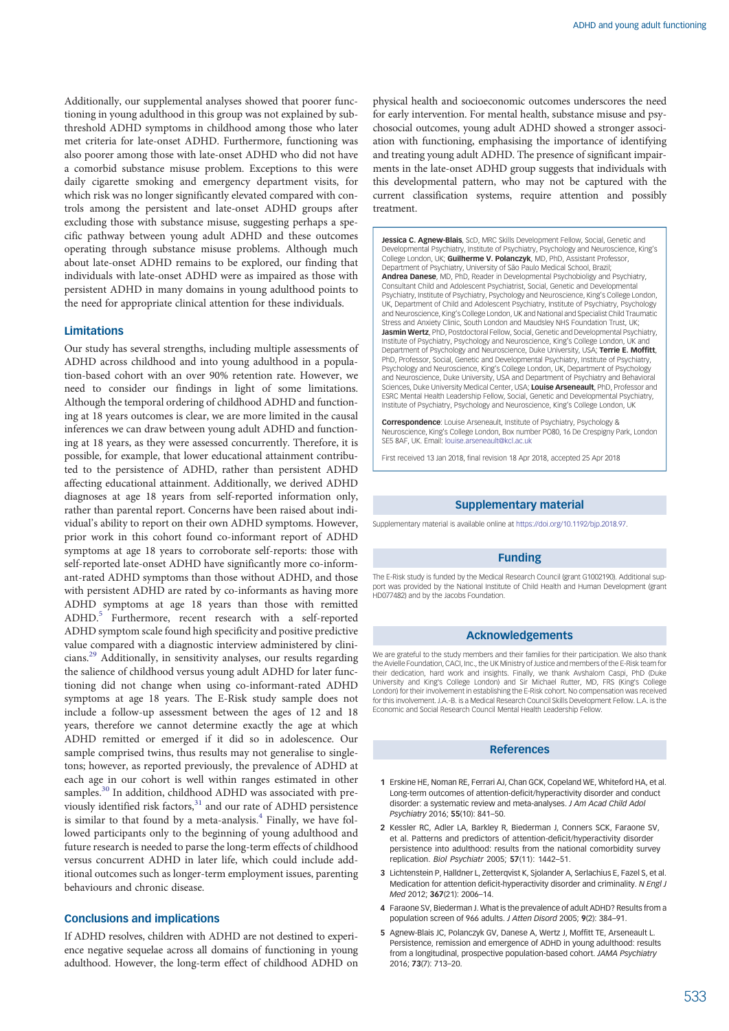<span id="page-7-0"></span>Additionally, our supplemental analyses showed that poorer functioning in young adulthood in this group was not explained by subthreshold ADHD symptoms in childhood among those who later met criteria for late-onset ADHD. Furthermore, functioning was also poorer among those with late-onset ADHD who did not have a comorbid substance misuse problem. Exceptions to this were daily cigarette smoking and emergency department visits, for which risk was no longer significantly elevated compared with controls among the persistent and late-onset ADHD groups after excluding those with substance misuse, suggesting perhaps a specific pathway between young adult ADHD and these outcomes operating through substance misuse problems. Although much about late-onset ADHD remains to be explored, our finding that individuals with late-onset ADHD were as impaired as those with persistent ADHD in many domains in young adulthood points to the need for appropriate clinical attention for these individuals.

# Limitations

Our study has several strengths, including multiple assessments of ADHD across childhood and into young adulthood in a population-based cohort with an over 90% retention rate. However, we need to consider our findings in light of some limitations. Although the temporal ordering of childhood ADHD and functioning at 18 years outcomes is clear, we are more limited in the causal inferences we can draw between young adult ADHD and functioning at 18 years, as they were assessed concurrently. Therefore, it is possible, for example, that lower educational attainment contributed to the persistence of ADHD, rather than persistent ADHD affecting educational attainment. Additionally, we derived ADHD diagnoses at age 18 years from self-reported information only, rather than parental report. Concerns have been raised about individual's ability to report on their own ADHD symptoms. However, prior work in this cohort found co-informant report of ADHD symptoms at age 18 years to corroborate self-reports: those with self-reported late-onset ADHD have significantly more co-informant-rated ADHD symptoms than those without ADHD, and those with persistent ADHD are rated by co-informants as having more ADHD symptoms at age 18 years than those with remitted ADHD.<sup>5</sup> Furthermore, recent research with a self-reported ADHD symptom scale found high specificity and positive predictive value compared with a diagnostic interview administered by clinicians.[29](#page-8-0) Additionally, in sensitivity analyses, our results regarding the salience of childhood versus young adult ADHD for later functioning did not change when using co-informant-rated ADHD symptoms at age 18 years. The E-Risk study sample does not include a follow-up assessment between the ages of 12 and 18 years, therefore we cannot determine exactly the age at which ADHD remitted or emerged if it did so in adolescence. Our sample comprised twins, thus results may not generalise to singletons; however, as reported previously, the prevalence of ADHD at each age in our cohort is well within ranges estimated in other samples.[30](#page-8-0) In addition, childhood ADHD was associated with pre-viously identified risk factors,<sup>[31](#page-8-0)</sup> and our rate of ADHD persistence is similar to that found by a meta-analysis.<sup>4</sup> Finally, we have followed participants only to the beginning of young adulthood and future research is needed to parse the long-term effects of childhood versus concurrent ADHD in later life, which could include additional outcomes such as longer-term employment issues, parenting behaviours and chronic disease.

# Conclusions and implications

If ADHD resolves, children with ADHD are not destined to experience negative sequelae across all domains of functioning in young adulthood. However, the long-term effect of childhood ADHD on physical health and socioeconomic outcomes underscores the need for early intervention. For mental health, substance misuse and psychosocial outcomes, young adult ADHD showed a stronger association with functioning, emphasising the importance of identifying and treating young adult ADHD. The presence of significant impairments in the late-onset ADHD group suggests that individuals with this developmental pattern, who may not be captured with the current classification systems, require attention and possibly treatment.

Jessica C. Agnew-Blais, ScD, MRC Skills Development Fellow, Social, Genetic and Developmental Psychiatry, Institute of Psychiatry, Psychology and Neuroscience, King's<br>College London, UK; **Guilherme V. Polanczyk**, MD, PhD, Assistant Professor, Department of Psychiatry, University of São Paulo Medical School, Brazil; Andrea Danese, MD, PhD, Reader in Developmental Psychobioligy and Psychiatry, Consultant Child and Adolescent Psychiatrist, Social, Genetic and Developmental Psychiatry, Institute of Psychiatry, Psychology and Neuroscience, King's College London, UK, Department of Child and Adolescent Psychiatry, Institute of Psychiatry, Psychology and Neuroscience, King's College London, UK and National and Specialist Child Traumatic Stress and Anxiety Clinic, South London and Maudsley NHS Foundation Trust, UK; Jasmin Wertz, PhD, Postdoctoral Fellow, Social, Genetic and Developmental Psychiatry, Institute of Psychiatry, Psychology and Neuroscience, King's College London, UK and Department of Psychology and Neuroscience, Duke University, USA; Terrie E. Moffitt, PhD, Professor, Social, Genetic and Developmental Psychiatry, Institute of Psychiatry, Psychology and Neuroscience, King's College London, UK, Department of Psychology and Neuroscience, Duke University, USA and Department of Psychiatry and Behavioral Sciences, Duke University Medical Center, USA; Louise Arseneault, PhD, Professor and ESRC Mental Health Leadership Fellow, Social, Genetic and Developmental Psychiatry, Institute of Psychiatry, Psychology and Neuroscience, King's College London, UK

Correspondence: Louise Arseneault, Institute of Psychiatry, Psychology & Neuroscience, King's College London, Box number PO80, 16 De Crespigny Park, London SE5 8AF, UK. Email: louise arseneault@kcl.ac.uk

First received 13 Jan 2018, final revision 18 Apr 2018, accepted 25 Apr 2018

#### Supplementary material

Supplementary material is available online at <https://doi.org/10.1192/bjp.2018.97>.

# Funding

The E-Risk study is funded by the Medical Research Council (grant G1002190). Additional support was provided by the National Institute of Child Health and Human Development (grant HD077482) and by the Jacobs Foundation.

#### Acknowledgements

We are grateful to the study members and their families for their participation. We also thank the Avielle Foundation, CACI, Inc., the UK Ministry of Justice and members of the E-Risk team for their dedication, hard work and insights. Finally, we thank Avshalom Caspi, PhD (Duke University and King's College London) and Sir Michael Rutter, MD, FRS (King's College London) for their involvement in establishing the E-Risk cohort. No compensation was received for this involvement. J.A.-B. is a Medical Research Council Skills Development Fellow. L.A. is the Economic and Social Research Council Mental Health Leadership Fellow.

# References

- 1 Erskine HE, Noman RE, Ferrari AJ, Chan GCK, Copeland WE, Whiteford HA, et al. Long-term outcomes of attention-deficit/hyperactivity disorder and conduct disorder: a systematic review and meta-analyses. J Am Acad Child Adol Psychiatry 2016; 55(10): 841–50.
- 2 Kessler RC, Adler LA, Barkley R, Biederman J, Conners SCK, Faraone SV, et al. Patterns and predictors of attention-deficit/hyperactivity disorder persistence into adulthood: results from the national comorbidity survey replication. Biol Psychiatr 2005; 57(11): 1442–51.
- 3 Lichtenstein P, Halldner L, Zetterqvist K, Sjolander A, Serlachius E, Fazel S, et al. Medication for attention deficit-hyperactivity disorder and criminality. N Engl J Med 2012; 367(21): 2006–14.
- 4 Faraone SV, Biederman J. What is the prevalence of adult ADHD? Results from a population screen of 966 adults. J Atten Disord 2005; 9(2): 384–91.
- 5 Agnew-Blais JC, Polanczyk GV, Danese A, Wertz J, Moffitt TE, Arseneault L. Persistence, remission and emergence of ADHD in young adulthood: results from a longitudinal, prospective population-based cohort. JAMA Psychiatry 2016; 73(7): 713–20.